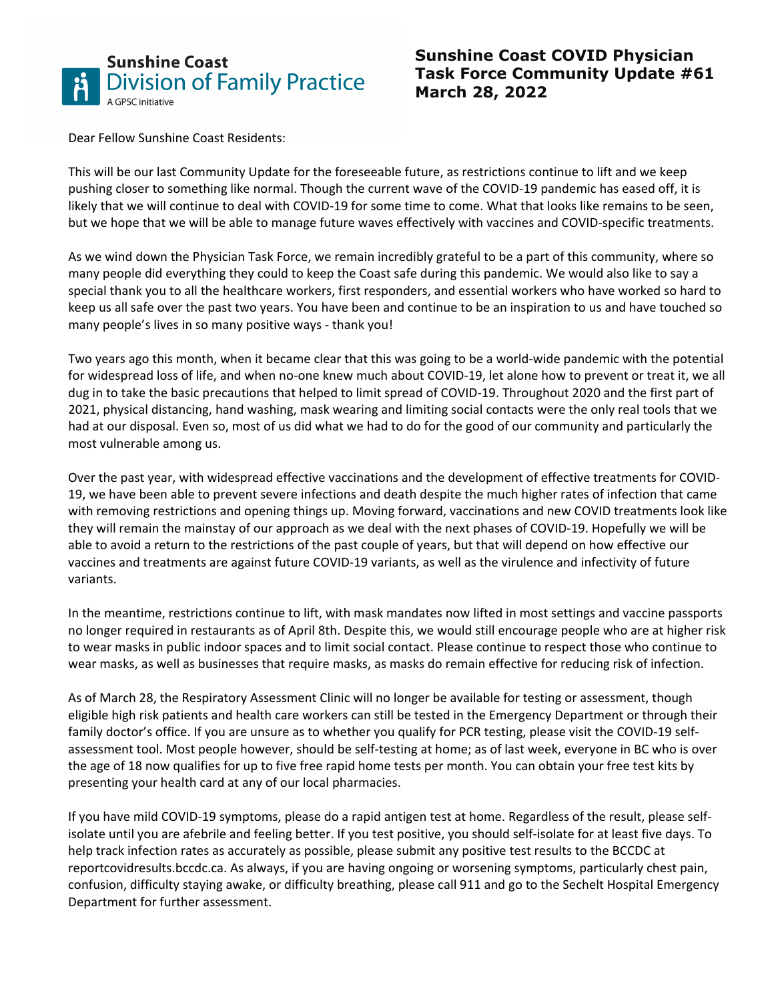

## **Sunshine Coast COVID Physician Task Force Community Update #61 March 28, 2022**

[Dear Fellow Sunshine Coast Residents:](https://www.divisionsbc.ca/sunshine-coast)

This will be our last Community Update for the foreseeable future, as restrictions continue to lift and we keep pushing closer to something like normal. Though the current wave of the COVID-19 pandemic has eased off, it is likely that we will continue to deal with COVID-19 for some time to come. What that looks like remains to be seen, but we hope that we will be able to manage future waves effectively with vaccines and COVID-specific treatments.

As we wind down the Physician Task Force, we remain incredibly grateful to be a part of this community, where so many people did everything they could to keep the Coast safe during this pandemic. We would also like to say a special thank you to all the healthcare workers, first responders, and essential workers who have worked so hard to keep us all safe over the past two years. You have been and continue to be an inspiration to us and have touched so many people's lives in so many positive ways - thank you!

Two years ago this month, when it became clear that this was going to be a world-wide pandemic with the potential for widespread loss of life, and when no-one knew much about COVID-19, let alone how to prevent or treat it, we all dug in to take the basic precautions that helped to limit spread of COVID-19. Throughout 2020 and the first part of 2021, physical distancing, hand washing, mask wearing and limiting social contacts were the only real tools that we had at our disposal. Even so, most of us did what we had to do for the good of our community and particularly the most vulnerable among us.

Over the past year, with widespread effective vaccinations and the development of effective treatments for COVID-19, we have been able to prevent severe infections and death despite the much higher rates of infection that came with removing restrictions and opening things up. Moving forward, vaccinations and new COVID treatments look like they will remain the mainstay of our approach as we deal with the next phases of COVID-19. Hopefully we will be able to avoid a return to the restrictions of the past couple of years, but that will depend on how effective our vaccines and treatments are against future COVID-19 variants, as well as the virulence and infectivity of future variants.

In the meantime, restrictions continue to lift, with mask mandates now lifted in most settings and vaccine passports no longer required in restaurants as of April 8th. Despite this, we would still encourage people who are at higher risk to wear masks in public indoor spaces and to limit social contact. Please continue to respect those who continue to wear masks, as well as businesses that require masks, as masks do remain effective for reducing risk of infection.

As of March 28, the Respiratory Assessment Clinic will no longer be available for testing or assessment, though eligible high risk patients and health care workers can still be tested in the Emergency Department or through their family doctor's office. If you are unsure as to whether you qualify for PCR testing, please visit the COVID-19 selfassessment tool. Most people however, should be self-testing at home; as of last week, everyone in BC who is over the age of 18 now qualifies for up to five free rapid home tests per month. You can obtain your free test kits by presenting your health card at any of our local pharmacies.

If you have mild COVID-19 symptoms, please do a rapid antigen test at home. Regardless of the result, please selfisolate until you are afebrile and feeling better. If you test positive, you should self-isolate for at least five days. To help track infection rates as accurately as possible, please submit any positive test results to the BCCDC at reportcovidresults.bccdc.ca. As always, if you are having ongoing or worsening symptoms, particularly chest pain, confusion, difficulty staying awake, or difficulty breathing, please call 911 and go to the Sechelt Hospital Emergency Department for further assessment.